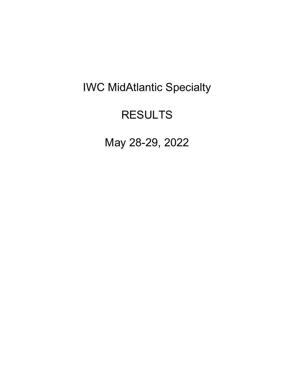# IWC MidAtlantic Specialty

## RESULTS

May 28-29, 2022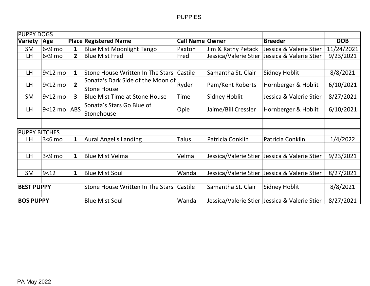| <b>PUPPY DOGS</b>    |                 |                |                                          |                        |                     |                                                 |            |
|----------------------|-----------------|----------------|------------------------------------------|------------------------|---------------------|-------------------------------------------------|------------|
| <b>Variety</b>       | Age             |                | <b>Place Registered Name</b>             | <b>Call Name Owner</b> |                     | <b>Breeder</b>                                  | <b>DOB</b> |
| <b>SM</b>            | $6<9$ mo        | 1              | <b>Blue Mist Moonlight Tango</b>         | Paxton                 | Jim & Kathy Petack  | Jessica & Valerie Stier                         | 11/24/2021 |
| LH.                  | $6<9$ mo        | $2^{\circ}$    | <b>Blue Mist Fred</b>                    | Fred                   |                     | Jessica/Valerie Stier   Jessica & Valerie Stier | 9/23/2021  |
|                      |                 |                |                                          |                        |                     |                                                 |            |
| LH                   | 9<12 mo         | $\mathbf{1}$   | Stone House Written In The Stars         | Castile                | Samantha St. Clair  | <b>Sidney Hoblit</b>                            | 8/8/2021   |
| LH                   | $9<12$ mo       | $\overline{2}$ | Sonata's Dark Side of the Moon of        | Ryder                  | Pam/Kent Roberts    | Hornberger & Hoblit                             | 6/10/2021  |
|                      |                 |                | <b>Stone House</b>                       |                        |                     |                                                 |            |
| <b>SM</b>            | 9<12 mo         | $\mathbf{3}$   | <b>Blue Mist Time at Stone House</b>     | Time                   | Sidney Hoblit       | Jessica & Valerie Stier                         | 8/27/2021  |
|                      |                 |                | Sonata's Stars Go Blue of                |                        |                     |                                                 |            |
| LH.                  | $9<12$ mo $ABS$ |                | Stonehouse                               | Opie                   | Jaime/Bill Cressler | Hornberger & Hoblit                             | 6/10/2021  |
|                      |                 |                |                                          |                        |                     |                                                 |            |
| <b>PUPPY BITCHES</b> |                 |                |                                          |                        |                     |                                                 |            |
| LH                   | $3<6$ mo        | 1              | <b>Aurai Angel's Landing</b>             | Talus                  | Patricia Conklin    | Patricia Conklin                                | 1/4/2022   |
|                      |                 |                |                                          |                        |                     |                                                 |            |
| LH                   | $3<9$ mo        | $\mathbf{1}$   | <b>Blue Mist Velma</b>                   | Velma                  |                     | Jessica/Valerie Stier Jessica & Valerie Stier   | 9/23/2021  |
|                      |                 |                |                                          |                        |                     |                                                 |            |
| SM                   | 9<12            | $\mathbf 1$    | <b>Blue Mist Soul</b>                    | Wanda                  |                     | Jessica/Valerie Stier Jessica & Valerie Stier   | 8/27/2021  |
|                      |                 |                |                                          |                        |                     |                                                 |            |
| <b>BEST PUPPY</b>    |                 |                | Stone House Written In The Stars Castile |                        | Samantha St. Clair  | Sidney Hoblit                                   | 8/8/2021   |
|                      |                 |                |                                          |                        |                     |                                                 |            |
| <b>BOS PUPPY</b>     |                 |                | <b>Blue Mist Soul</b>                    | Wanda                  |                     | Jessica/Valerie Stier   Jessica & Valerie Stier | 8/27/2021  |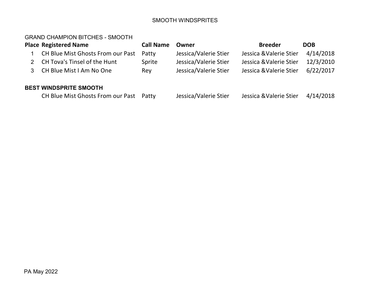#### SMOOTH WINDSPRITES

## GRAND CHAMPION BITCHES - SMOOTH

|   | <b>Place Registered Name</b>      | <b>Call Name</b> | Owner                 | <b>Breeder</b>          | <b>DOB</b> |
|---|-----------------------------------|------------------|-----------------------|-------------------------|------------|
|   | CH Blue Mist Ghosts From our Past | Patty            | Jessica/Valerie Stier | Jessica & Valerie Stier | 4/14/2018  |
|   | CH Tova's Tinsel of the Hunt      | Sprite           | Jessica/Valerie Stier | Jessica & Valerie Stier | 12/3/2010  |
| 3 | CH Blue Mist I Am No One          | Rey              | Jessica/Valerie Stier | Jessica & Valerie Stier | 6/22/2017  |
|   | <b>BEST WINDSPRITE SMOOTH</b>     |                  |                       |                         |            |
|   | CH Blue Mist Ghosts From our Past | Patty            | Jessica/Valerie Stier | Jessica & Valerie Stier | 4/14/2018  |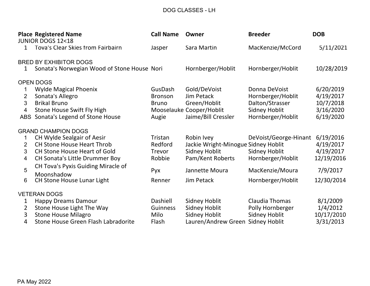## DOG CLASSES - LH

|                | <b>Place Registered Name</b><br><b>JUNIOR DOGS 12&lt;18</b> | <b>Call Name</b> | Owner                               | <b>Breeder</b>        | <b>DOB</b> |
|----------------|-------------------------------------------------------------|------------------|-------------------------------------|-----------------------|------------|
| 1              | <b>Tova's Clear Skies from Fairbairn</b>                    | Jasper           | Sara Martin                         | MacKenzie/McCord      | 5/11/2021  |
|                | <b>BRED BY EXHIBITOR DOGS</b>                               |                  |                                     |                       |            |
| $\mathbf 1$    | Sonata's Norwegian Wood of Stone House Nori                 |                  | Hornberger/Hoblit                   | Hornberger/Hoblit     | 10/28/2019 |
|                | <b>OPEN DOGS</b>                                            |                  |                                     |                       |            |
|                | <b>Wylde Magical Phoenix</b>                                | GusDash          | Gold/DeVoist                        | Donna DeVoist         | 6/20/2019  |
| 2              | Sonata's Allegro                                            | <b>Bronson</b>   | <b>Jim Petack</b>                   | Hornberger/Hoblit     | 4/19/2017  |
| 3              | <b>Brikal Bruno</b>                                         | <b>Bruno</b>     | Green/Hoblit                        | Dalton/Strasser       | 10/7/2018  |
| 4              | Stone House Swift Fly High                                  |                  | Mooselauke Cooper/Hoblit            | <b>Sidney Hoblit</b>  | 3/16/2020  |
|                | ABS Sonata's Legend of Stone House                          | Augie            | Jaime/Bill Cressler                 | Hornberger/Hoblit     | 6/19/2020  |
|                | <b>GRAND CHAMPION DOGS</b>                                  |                  |                                     |                       |            |
| 1              | CH Wylde Sealgair of Aesir                                  | Tristan          | Robin Ivey                          | DeVoist/George-Hinant | 6/19/2016  |
| $\mathbf{2}$   | <b>CH Stone House Heart Throb</b>                           | Redford          | Jackie Wright-Minogue Sidney Hoblit |                       | 4/19/2017  |
| 3              | <b>CH Stone House Heart of Gold</b>                         | <b>Trevor</b>    | Sidney Hoblit                       | <b>Sidney Hoblit</b>  | 4/19/2017  |
| 4              | <b>CH Sonata's Little Drummer Boy</b>                       | Robbie           | Pam/Kent Roberts                    | Hornberger/Hoblit     | 12/19/2016 |
| 5              | CH Tova's Pyxis Guiding Miracle of                          | Pyx              | Jannette Moura                      | MacKenzie/Moura       | 7/9/2017   |
| 6              | Moonshadow<br>CH Stone House Lunar Light                    | Renner           | <b>Jim Petack</b>                   | Hornberger/Hoblit     | 12/30/2014 |
|                |                                                             |                  |                                     |                       |            |
|                | <b>VETERAN DOGS</b>                                         |                  |                                     |                       |            |
| 1              | <b>Happy Dreams Damour</b>                                  | <b>Dashiell</b>  | <b>Sidney Hoblit</b>                | <b>Claudia Thomas</b> | 8/1/2009   |
| $\overline{2}$ | Stone House Light The Way                                   | Guinness         | <b>Sidney Hoblit</b>                | Polly Hornberger      | 1/4/2012   |
| 3              | <b>Stone House Milagro</b>                                  | <b>Milo</b>      | <b>Sidney Hoblit</b>                | <b>Sidney Hoblit</b>  | 10/17/2010 |
| $\overline{4}$ | Stone House Green Flash Labradorite                         | Flash            | Lauren/Andrew Green                 | <b>Sidney Hoblit</b>  | 3/31/2013  |
|                |                                                             |                  |                                     |                       |            |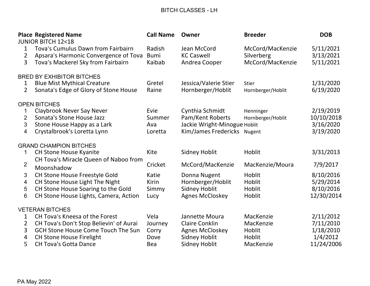## BITCH CLASSES - LH

|                                       | <b>Place Registered Name</b><br><b>JUNIOR BITCH 12&lt;18</b>                                                                | <b>Call Name</b>                 | Owner                                                                                              | <b>Breeder</b>                                     | <b>DOB</b>                                        |
|---------------------------------------|-----------------------------------------------------------------------------------------------------------------------------|----------------------------------|----------------------------------------------------------------------------------------------------|----------------------------------------------------|---------------------------------------------------|
| 1<br>$\overline{2}$<br>$\overline{3}$ | Tova's Cumulus Dawn from Fairbairn<br>Apsara's Harmonic Convergence of Tova<br>Tova's Mackerel Sky from Fairbairn           | Radish<br><b>Bumi</b><br>Kaibab  | Jean McCord<br><b>KC Caswell</b><br>Andrea Cooper                                                  | McCord/MacKenzie<br>Silverberg<br>McCord/MacKenzie | 5/11/2021<br>3/13/2021<br>5/11/2021               |
|                                       | <b>BRED BY EXHIBITOR BITCHES</b>                                                                                            |                                  |                                                                                                    |                                                    |                                                   |
| $\mathbf{1}$<br>$\overline{2}$        | <b>Blue Mist Mythical Creature</b><br>Sonata's Edge of Glory of Stone House                                                 | Gretel<br>Raine                  | Jessica/Valerie Stier<br>Hornberger/Hoblit                                                         | Stier<br>Hornberger/Hoblit                         | 1/31/2020<br>6/19/2020                            |
|                                       | <b>OPEN BITCHES</b>                                                                                                         |                                  |                                                                                                    |                                                    |                                                   |
| $\overline{2}$<br>3<br>4              | <b>Claybrook Never Say Never</b><br>Sonata's Stone House Jazz<br>Stone House Happy as a Lark<br>Crystalbrook's Loretta Lynn | Evie<br>Summer<br>Ava<br>Loretta | Cynthia Schmidt<br>Pam/Kent Roberts<br>Jackie Wright-Minogue Hoblit<br>Kim/James Fredericks Nugent | Henninger<br>Hornberger/Hoblit                     | 2/19/2019<br>10/10/2018<br>3/16/2020<br>3/19/2020 |
|                                       | <b>GRAND CHAMPION BITCHES</b>                                                                                               |                                  |                                                                                                    |                                                    |                                                   |
| 1                                     | <b>CH Stone House Kyanite</b>                                                                                               | Kite                             | <b>Sidney Hoblit</b>                                                                               | Hoblit                                             | 3/31/2013                                         |
| $\overline{2}$                        | CH Tova's Miracle Queen of Naboo from<br>Moonshadow                                                                         | Cricket                          | McCord/MacKenzie                                                                                   | MacKenzie/Moura                                    | 7/9/2017                                          |
| 3                                     | CH Stone House Freestyle Gold                                                                                               | Katie                            | Donna Nugent                                                                                       | Hoblit                                             | 8/10/2016                                         |
| 4                                     | CH Stone House Light The Night                                                                                              | Kirin                            | Hornberger/Hoblit                                                                                  | Hoblit                                             | 5/29/2014                                         |
| 5<br>6                                | CH Stone House Soaring to the Gold<br>CH Stone House Lights, Camera, Action                                                 | Simmy<br>Lucy                    | <b>Sidney Hoblit</b><br><b>Agnes McCloskey</b>                                                     | Hoblit<br>Hoblit                                   | 8/10/2016<br>12/30/2014                           |
|                                       | <b>VETERAN BITCHES</b>                                                                                                      |                                  |                                                                                                    |                                                    |                                                   |
| 1                                     | <b>CH Tova's Kneesa of the Forest</b>                                                                                       | Vela                             | Jannette Moura                                                                                     | MacKenzie                                          | 2/11/2012                                         |
| $\overline{2}$                        | CH Tova's Don't Stop Believin' of Aurai                                                                                     | Journey                          | <b>Claire Conklin</b>                                                                              | MacKenzie                                          | 7/11/2010                                         |
| 3                                     | <b>GCH Stone House Come Touch The Sun</b>                                                                                   | Corry                            | <b>Agnes McCloskey</b>                                                                             | Hoblit                                             | 1/18/2010                                         |
| 4                                     | <b>CH Stone House Firelight</b>                                                                                             | Dove                             | <b>Sidney Hoblit</b>                                                                               | Hoblit                                             | 1/4/2012                                          |
| 5                                     | <b>CH Tova's Gotta Dance</b>                                                                                                | <b>Bea</b>                       | <b>Sidney Hoblit</b>                                                                               | MacKenzie                                          | 11/24/2006                                        |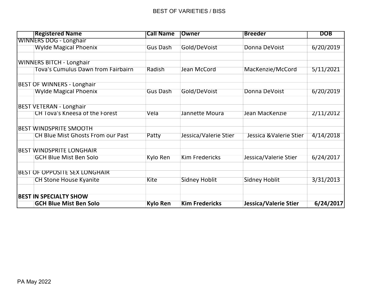#### BEST OF VARIETIES / BISS

| <b>Registered Name</b>               | <b>Call Name</b> | <b>Owner</b>          | <b>Breeder</b>          | <b>DOB</b> |
|--------------------------------------|------------------|-----------------------|-------------------------|------------|
| <b>WINNERS DOG - Longhair</b>        |                  |                       |                         |            |
| <b>Wylde Magical Phoenix</b>         | Gus Dash         | Gold/DeVoist          | Donna DeVoist           | 6/20/2019  |
|                                      |                  |                       |                         |            |
| <b>WINNERS BITCH - Longhair</b>      |                  |                       |                         |            |
| Tova's Cumulus Dawn from Fairbairn   | Radish           | Jean McCord           | MacKenzie/McCord        | 5/11/2021  |
| <b>BEST OF WINNERS - Longhair</b>    |                  |                       |                         |            |
| <b>Wylde Magical Phoenix</b>         | Gus Dash         | Gold/DeVoist          | Donna DeVoist           | 6/20/2019  |
| <b>BEST VETERAN - Longhair</b>       |                  |                       |                         |            |
| CH Tova's Kneesa of the Forest       | Vela             | Jannette Moura        | Jean MacKenzie          | 2/11/2012  |
| <b>BEST WINDSPRITE SMOOTH</b>        |                  |                       |                         |            |
| CH Blue Mist Ghosts From our Past    |                  |                       | Jessica & Valerie Stier |            |
|                                      | Patty            | Jessica/Valerie Stier |                         | 4/14/2018  |
| <b>BEST WINDSPRITE LONGHAIR</b>      |                  |                       |                         |            |
| <b>GCH Blue Mist Ben Solo</b>        | Kylo Ren         | <b>Kim Fredericks</b> | Jessica/Valerie Stier   | 6/24/2017  |
| <b>BEST OF OPPOSITE SEX LONGHAIR</b> |                  |                       |                         |            |
| <b>CH Stone House Kyanite</b>        | <b>Kite</b>      | <b>Sidney Hoblit</b>  | <b>Sidney Hoblit</b>    | 3/31/2013  |
| <b>BEST IN SPECIALTY SHOW</b>        |                  |                       |                         |            |
|                                      |                  |                       |                         |            |
| <b>GCH Blue Mist Ben Solo</b>        | <b>Kylo Ren</b>  | <b>Kim Fredericks</b> | Jessica/Valerie Stier   | 6/24/2017  |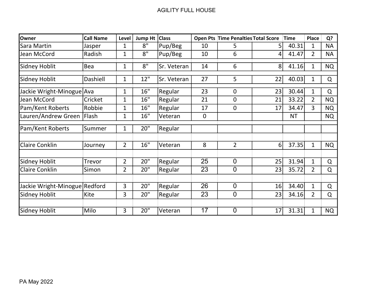| Owner                         | <b>Call Name</b> | Level          | <b>Jump Ht</b> | <b>Class</b> |             | <b>Open Pts Time Penalties Total Score</b> |    | <b>Time</b> | <b>Place</b>   | Q?        |
|-------------------------------|------------------|----------------|----------------|--------------|-------------|--------------------------------------------|----|-------------|----------------|-----------|
| Sara Martin                   | Jasper           | 1              | 8"             | Pup/Beg      | 10          | 5                                          | 5  | 40.31       | $\mathbf{1}$   | <b>NA</b> |
| Jean McCord                   | Radish           | $\mathbf 1$    | 8"             | Pup/Beg      | 10          | 6                                          | 4  | 41.47       | $\overline{2}$ | <b>NA</b> |
| Sidney Hoblit                 | Bea              | 1              | 8"             | Sr. Veteran  | 14          | 6                                          | 8  | 41.16       | $\mathbf{1}$   | <b>NQ</b> |
| Sidney Hoblit                 | Dashiell         | $\mathbf 1$    | 12"            | Sr. Veteran  | 27          | 5                                          | 22 | 40.03       | 1              | Q         |
| Jackie Wright-Minogue Ava     |                  | $\mathbf{1}$   | 16"            | Regular      | 23          | 0                                          | 23 | 30.44       | 1              | Q         |
| Jean McCord                   | Cricket          | 1              | 16"            | Regular      | 21          | $\overline{0}$                             | 21 | 33.22       | $\overline{2}$ | <b>NQ</b> |
| Pam/Kent Roberts              | Robbie           | 1              | 16"            | Regular      | 17          | 0                                          | 17 | 34.47       | 3              | <b>NQ</b> |
| Lauren/Andrew Green           | Flash            | $\mathbf 1$    | 16"            | Veteran      | $\mathbf 0$ |                                            |    | <b>NT</b>   |                | <b>NQ</b> |
| Pam/Kent Roberts              | Summer           | $\mathbf 1$    | 20"            | Regular      |             |                                            |    |             |                |           |
| <b>Claire Conklin</b>         | Journey          | $\overline{2}$ | 16"            | Veteran      | 8           | $\overline{2}$                             | 6  | 37.35       | 1              | <b>NQ</b> |
| Sidney Hoblit                 | <b>Trevor</b>    | $\overline{2}$ | 20"            | Regular      | 25          | $\overline{0}$                             | 25 | 31.94       | $\mathbf{1}$   | Q         |
| <b>Claire Conklin</b>         | Simon            | $\overline{2}$ | 20"            | Regular      | 23          | $\overline{0}$                             | 23 | 35.72       | $\overline{2}$ | $\Omega$  |
| Jackie Wright-Minogue Redford |                  | 3              | 20"            | Regular      | 26          | $\overline{0}$                             | 16 | 34.40       | $\mathbf{1}$   | Q         |
| Sidney Hoblit                 | Kite             | 3              | 20"            | Regular      | 23          | $\overline{0}$                             | 23 | 34.16       | $\overline{2}$ | Q         |
|                               |                  |                |                |              |             |                                            |    |             |                |           |
| Sidney Hoblit                 | Milo             | 3              | 20"            | Veteran      | 17          | $\overline{0}$                             | 17 | 31.31       | 1              | <b>NQ</b> |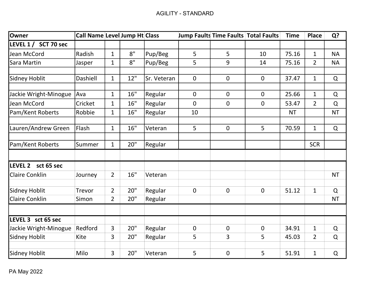| Owner                   | Call Name Level Jump Ht Class |                |     |             |                | <b>Jump Faults Time Faults Total Faults</b> |              | <b>Time</b> | <b>Place</b>   | Q?        |
|-------------------------|-------------------------------|----------------|-----|-------------|----------------|---------------------------------------------|--------------|-------------|----------------|-----------|
| LEVEL 1 /<br>SCT 70 sec |                               |                |     |             |                |                                             |              |             |                |           |
| Jean McCord             | Radish                        | $\mathbf{1}$   | 8"  | Pup/Beg     | 5              | 5                                           | 10           | 75.16       | $\mathbf{1}$   | <b>NA</b> |
| Sara Martin             | Jasper                        | $\mathbf{1}$   | 8"  | Pup/Beg     | 5              | 9                                           | 14           | 75.16       | $\overline{2}$ | <b>NA</b> |
|                         |                               |                |     |             |                |                                             |              |             |                |           |
| Sidney Hoblit           | Dashiell                      | $\mathbf{1}$   | 12" | Sr. Veteran | $\mathbf 0$    | $\mathbf 0$                                 | $\mathbf{0}$ | 37.47       | $\mathbf{1}$   | $\Omega$  |
| Jackie Wright-Minogue   | Ava                           | $\mathbf{1}$   | 16" | Regular     | 0              | $\mathbf 0$                                 | $\mathbf 0$  | 25.66       | $\mathbf{1}$   | $\Omega$  |
| Jean McCord             | Cricket                       | $\mathbf{1}$   | 16" | Regular     | $\mathbf 0$    | $\mathbf 0$                                 | 0            | 53.47       | $\overline{2}$ | $\Omega$  |
| Pam/Kent Roberts        | Robbie                        | $\mathbf{1}$   | 16" | Regular     | 10             |                                             |              | <b>NT</b>   |                | <b>NT</b> |
|                         |                               |                |     |             |                |                                             |              |             |                |           |
| Lauren/Andrew Green     | Flash                         | $\mathbf{1}$   | 16" | Veteran     | 5              | $\mathbf 0$                                 | 5            | 70.59       | $\mathbf{1}$   | $\Omega$  |
| Pam/Kent Roberts        | Summer                        | $\mathbf{1}$   | 20" | Regular     |                |                                             |              |             | <b>SCR</b>     |           |
|                         |                               |                |     |             |                |                                             |              |             |                |           |
| LEVEL 2 sct 65 sec      |                               |                |     |             |                |                                             |              |             |                |           |
| <b>Claire Conklin</b>   | Journey                       | $\overline{2}$ | 16" | Veteran     |                |                                             |              |             |                | <b>NT</b> |
|                         |                               |                |     |             |                |                                             |              |             |                |           |
| Sidney Hoblit           | Trevor                        | $\overline{2}$ | 20" | Regular     | $\overline{0}$ | $\mathbf 0$                                 | $\mathbf 0$  | 51.12       | $\mathbf{1}$   | $\Omega$  |
| <b>Claire Conklin</b>   | Simon                         | $\overline{2}$ | 20" | Regular     |                |                                             |              |             |                | <b>NT</b> |
|                         |                               |                |     |             |                |                                             |              |             |                |           |
| LEVEL 3 sct 65 sec      |                               |                |     |             |                |                                             |              |             |                |           |
| Jackie Wright-Minogue   | Redford                       | $\overline{3}$ | 20" | Regular     | $\overline{0}$ | $\mathbf 0$                                 | $\mathbf 0$  | 34.91       | $\mathbf{1}$   | $\Omega$  |
| Sidney Hoblit           | Kite                          | 3              | 20" | Regular     | 5              | 3                                           | 5            | 45.03       | $\overline{2}$ | Q         |
| Sidney Hoblit           | Milo                          | $\overline{3}$ | 20" | Veteran     | 5              | $\mathbf 0$                                 | 5            | 51.91       | $\mathbf{1}$   | $\Omega$  |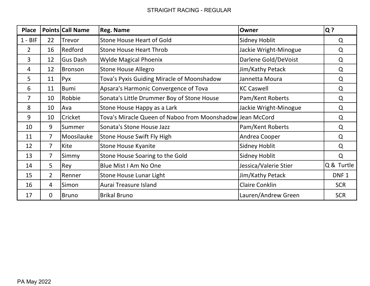#### STRAIGHT RACING - REGULAR

| <b>Place</b>   |                | <b>Points Call Name</b> | <b>Reg. Name</b>                                          | Owner                 | $Q$ ?            |
|----------------|----------------|-------------------------|-----------------------------------------------------------|-----------------------|------------------|
| $1 - BIF$      | 22             | Trevor                  | <b>Stone House Heart of Gold</b>                          | <b>Sidney Hoblit</b>  | Q                |
| $\overline{2}$ | 16             | Redford                 | <b>Stone House Heart Throb</b>                            | Jackie Wright-Minogue | Q                |
| 3              | 12             | <b>Gus Dash</b>         | <b>Wylde Magical Phoenix</b>                              | Darlene Gold/DeVoist  | Q                |
| 4              | 12             | Bronson                 | <b>Stone House Allegro</b>                                | Jim/Kathy Petack      | Q                |
| 5              | 11             | Pyx                     | Tova's Pyxis Guiding Miracle of Moonshadow                | Jannetta Moura        | Q                |
| 6              | 11             | Bumi                    | Apsara's Harmonic Convergence of Tova                     | <b>KC Caswell</b>     | Q                |
| 7              | 10             | Robbie                  | Sonata's Little Drummer Boy of Stone House                | Pam/Kent Roberts      | Q                |
| 8              | 10             | Ava                     | Stone House Happy as a Lark                               | Jackie Wright-Minogue | Q                |
| 9              | 10             | Cricket                 | Tova's Miracle Queen of Naboo from Moonshadow Jean McCord |                       | Q                |
| 10             | 9              | Summer                  | Sonata's Stone House Jazz                                 | Pam/Kent Roberts      | Q                |
| 11             | $\overline{7}$ | Moosilauke              | Stone House Swift Fly High                                | Andrea Cooper         | Q                |
| 12             | $\overline{7}$ | Kite                    | <b>Stone House Kyanite</b>                                | Sidney Hoblit         | Q                |
| 13             | $\overline{7}$ | Simmy                   | Stone House Soaring to the Gold                           | <b>Sidney Hoblit</b>  | Q                |
| 14             | 5              | Rey                     | Blue Mist I Am No One                                     | Jessica/Valerie Stier | Q & Turtle       |
| 15             | $2^{\circ}$    | Renner                  | <b>Stone House Lunar Light</b>                            | Jim/Kathy Petack      | DNF <sub>1</sub> |
| 16             | $\overline{4}$ | Simon                   | Aurai Treasure Island                                     | <b>Claire Conklin</b> | <b>SCR</b>       |
| 17             | $\mathbf 0$    | Bruno                   | <b>Brikal Bruno</b>                                       | Lauren/Andrew Green   | <b>SCR</b>       |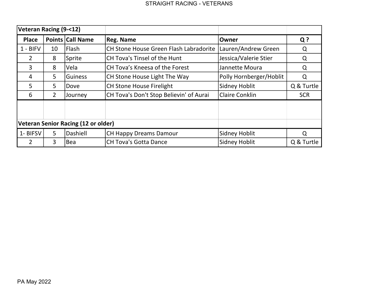|                                     | Veteran Racing (9-<12) |                         |                                               |                         |            |
|-------------------------------------|------------------------|-------------------------|-----------------------------------------------|-------------------------|------------|
| <b>Place</b>                        |                        | <b>Points Call Name</b> | <b>Reg. Name</b>                              | Owner                   | $Q$ ?      |
| $1 - BIFV$                          | 10                     | <b>Flash</b>            | <b>CH Stone House Green Flash Labradorite</b> | Lauren/Andrew Green     | Q          |
| $\overline{2}$                      | 8                      | Sprite                  | <b>CH Tova's Tinsel of the Hunt</b>           | Jessica/Valerie Stier   | Q          |
| 3                                   | 8                      | lVela                   | <b>CH Tova's Kneesa of the Forest</b>         | Jannette Moura          | Q          |
| 4                                   | 5                      | <b>Guiness</b>          | CH Stone House Light The Way                  | Polly Hornberger/Hoblit | Q          |
| 5                                   | 5                      | <b>Dove</b>             | <b>CH Stone House Firelight</b>               | Sidney Hoblit           | Q & Turtle |
| 6                                   | 2                      | Journey                 | CH Tova's Don't Stop Believin' of Aurai       | <b>Claire Conklin</b>   | <b>SCR</b> |
|                                     |                        |                         |                                               |                         |            |
|                                     |                        |                         |                                               |                         |            |
| Veteran Senior Racing (12 or older) |                        |                         |                                               |                         |            |
| 1- BIFSV                            | 5                      | Dashiell                | <b>CH Happy Dreams Damour</b>                 | Sidney Hoblit           | $\Omega$   |
|                                     | 3                      | <b>Bea</b>              | <b>CH Tova's Gotta Dance</b>                  | <b>Sidney Hoblit</b>    | Q & Turtle |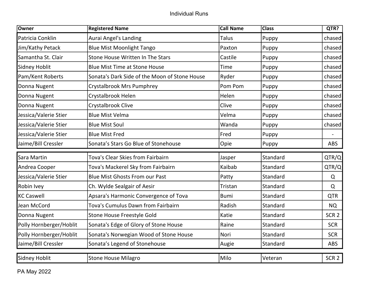| Owner                   | <b>Registered Name</b>                        | <b>Call Name</b> | <b>Class</b> | QTR?             |
|-------------------------|-----------------------------------------------|------------------|--------------|------------------|
| Patricia Conklin        | <b>Aurai Angel's Landing</b>                  | <b>Talus</b>     | Puppy        | chased           |
| Jim/Kathy Petack        | <b>Blue Mist Moonlight Tango</b>              | Paxton           | Puppy        | chased           |
| Samantha St. Clair      | Stone House Written In The Stars              | Castile          | Puppy        | chased           |
| <b>Sidney Hoblit</b>    | <b>Blue Mist Time at Stone House</b>          | Time             | Puppy        | chased           |
| Pam/Kent Roberts        | Sonata's Dark Side of the Moon of Stone House | Ryder            | Puppy        | chased           |
| Donna Nugent            | Crystalbrook Mrs Pumphrey                     | Pom Pom          | Puppy        | chased           |
| Donna Nugent            | Crystalbrook Helen                            | Helen            | Puppy        | chased           |
| Donna Nugent            | Crystalbrook Clive                            | Clive            | Puppy        | chased           |
| Jessica/Valerie Stier   | <b>Blue Mist Velma</b>                        | Velma            | Puppy        | chased           |
| Jessica/Valerie Stier   | <b>Blue Mist Soul</b>                         | Wanda            | Puppy        | chased           |
| Jessica/Valerie Stier   | <b>Blue Mist Fred</b>                         | Fred             | Puppy        |                  |
| Jaime/Bill Cressler     | Sonata's Stars Go Blue of Stonehouse          | Opie             | Puppy        | <b>ABS</b>       |
| Sara Martin             | Tova's Clear Skies from Fairbairn             | Jasper           | Standard     | QTR/Q            |
| Andrea Cooper           | Tova's Mackerel Sky from Fairbairn            | Kaibab           | Standard     | QTR/Q            |
| Jessica/Valerie Stier   | <b>Blue Mist Ghosts From our Past</b>         | Patty            | Standard     | Q                |
| Robin Ivey              | Ch. Wylde Sealgair of Aesir                   | Tristan          | Standard     | $\Omega$         |
| <b>KC Caswell</b>       | Apsara's Harmonic Convergence of Tova         | <b>Bumi</b>      | Standard     | <b>QTR</b>       |
| Jean McCord             | Tova's Cumulus Dawn from Fairbairn            | Radish           | Standard     | <b>NQ</b>        |
| Donna Nugent            | Stone House Freestyle Gold                    | Katie            | Standard     | SCR <sub>2</sub> |
| Polly Hornberger/Hoblit | Sonata's Edge of Glory of Stone House         | Raine            | Standard     | <b>SCR</b>       |
| Polly Hornberger/Hoblit | Sonata's Norwegian Wood of Stone House        | Nori             | Standard     | <b>SCR</b>       |
| Jaime/Bill Cressler     | Sonata's Legend of Stonehouse                 | Augie            | Standard     | <b>ABS</b>       |
| <b>Sidney Hoblit</b>    | <b>Stone House Milagro</b>                    | Milo             | Veteran      | SCR <sub>2</sub> |

PA May 2022